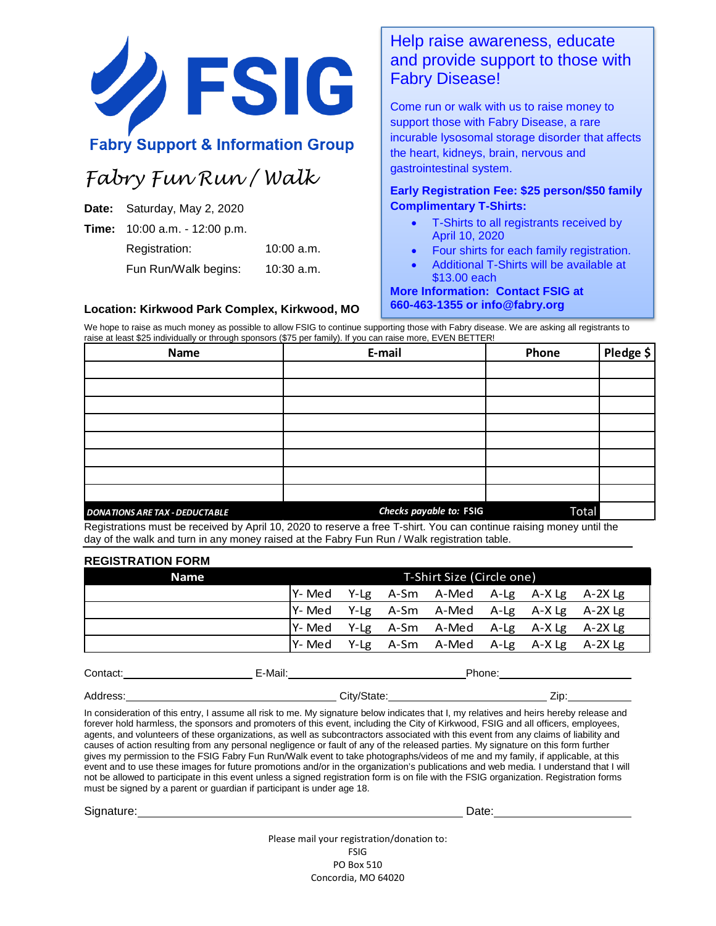

## **Fabry Support & Information Group**

# *Fabry Fun Run / Walk*

**Date:** Saturday, May 2, 2020

**Time:** 10:00 a.m. - 12:00 p.m.

Registration: 10:00 a.m. Fun Run/Walk begins: 10:30 a.m.

**Location: Kirkwood Park Complex, Kirkwood, MO**

### Help raise awareness, educate and provide support to those with Fabry Disease!

Come run or walk with us to raise money to support those with Fabry Disease, a rare incurable lysosomal storage disorder that affects the heart, kidneys, brain, nervous and gastrointestinal system.

### **Early Registration Fee: \$25 person/\$50 family Complimentary T-Shirts:**

- T-Shirts to all registrants received by April 10, 2020
- Four shirts for each family registration.
- Additional T-Shirts will be available at \$13.00 each

**More Information: Contact FSIG at 660-463-1355 or info@fabry.org**

We hope to raise as much money as possible to allow FSIG to continue supporting those with Fabry disease. We are asking all registrants to raise at least \$25 individually or through sponsors (\$75 per family). If you can raise more, EVEN BETTER!

| Name                                  | E-mail                  | Phone | Pledge \$ |
|---------------------------------------|-------------------------|-------|-----------|
|                                       |                         |       |           |
|                                       |                         |       |           |
|                                       |                         |       |           |
|                                       |                         |       |           |
|                                       |                         |       |           |
|                                       |                         |       |           |
|                                       |                         |       |           |
|                                       |                         |       |           |
| <b>DONATIONS ARE TAX - DEDUCTABLE</b> | Checks payable to: FSIG | Total |           |

Registrations must be received by April 10, 2020 to reserve a free T-shirt. You can continue raising money until the day of the walk and turn in any money raised at the Fabry Fun Run / Walk registration table.

#### **REGISTRATION FORM**

| <b>Name</b> | T-Shirt Size (Circle one) |  |  |                                     |  |  |
|-------------|---------------------------|--|--|-------------------------------------|--|--|
|             | Y-Med                     |  |  | Y-Lg A-Sm A-Med A-Lg A-X-Lg A-2X-Lg |  |  |
|             | lY-Med                    |  |  | Y-Lg A-Sm A-Med A-Lg A-X-Lg A-2X-Lg |  |  |
|             | Y- Med                    |  |  | Y-Lg A-Sm A-Med A-Lg A-X-Lg A-2X-Lg |  |  |
|             | lY- Med                   |  |  | Y-Lg A-Sm A-Med A-Lg A-X-Lg A-2X-Lg |  |  |

| Contact. | E-Mail:     | Phone: |
|----------|-------------|--------|
| Address: | City/State: | Zip    |

In consideration of this entry, I assume all risk to me. My signature below indicates that I, my relatives and heirs hereby release and forever hold harmless, the sponsors and promoters of this event, including the City of Kirkwood, FSIG and all officers, employees, agents, and volunteers of these organizations, as well as subcontractors associated with this event from any claims of liability and causes of action resulting from any personal negligence or fault of any of the released parties. My signature on this form further gives my permission to the FSIG Fabry Fun Run/Walk event to take photographs/videos of me and my family, if applicable, at this event and to use these images for future promotions and/or in the organization's publications and web media. I understand that I will not be allowed to participate in this event unless a signed registration form is on file with the FSIG organization. Registration forms must be signed by a parent or guardian if participant is under age 18.

Signature: Date: Date: Date: Date: Date: Date: Date: Date: Date: Date: Date: Date: Date: Date: Date: Date: Date: Date: Date: Date: Date: Date: Date: Date: Date: Date: Date: Date: Date: Date: Date: Date: Date: Date: Date: D

Please mail your registration/donation to: FSIG PO Box 510 Concordia, MO 64020